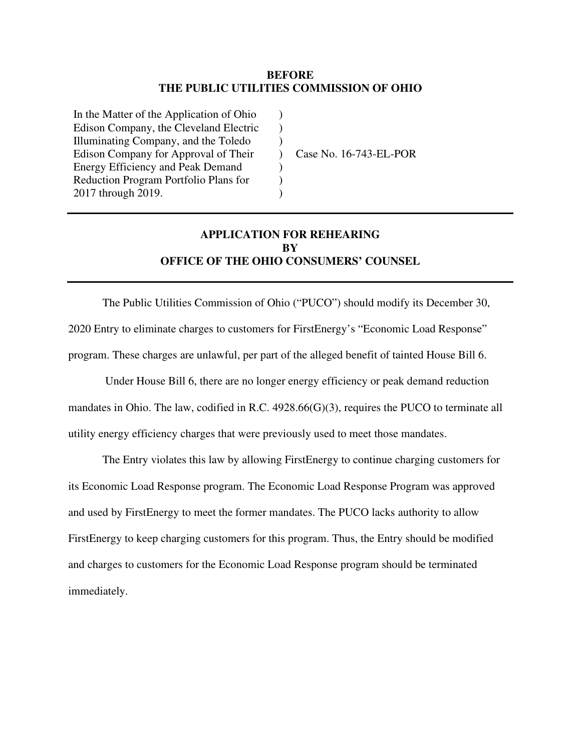#### **BEFORE THE PUBLIC UTILITIES COMMISSION OF OHIO**

) ) )  $\lambda$ ) )  $\lambda$ 

In the Matter of the Application of Ohio Edison Company, the Cleveland Electric Illuminating Company, and the Toledo Edison Company for Approval of Their Energy Efficiency and Peak Demand Reduction Program Portfolio Plans for 2017 through 2019.

Case No. 16-743-EL-POR

# **APPLICATION FOR REHEARING BY OFFICE OF THE OHIO CONSUMERS' COUNSEL**

The Public Utilities Commission of Ohio ("PUCO") should modify its December 30, 2020 Entry to eliminate charges to customers for FirstEnergy's "Economic Load Response" program. These charges are unlawful, per part of the alleged benefit of tainted House Bill 6.

 Under House Bill 6, there are no longer energy efficiency or peak demand reduction mandates in Ohio. The law, codified in R.C. 4928.66(G)(3), requires the PUCO to terminate all utility energy efficiency charges that were previously used to meet those mandates.

The Entry violates this law by allowing FirstEnergy to continue charging customers for its Economic Load Response program. The Economic Load Response Program was approved and used by FirstEnergy to meet the former mandates. The PUCO lacks authority to allow FirstEnergy to keep charging customers for this program. Thus, the Entry should be modified and charges to customers for the Economic Load Response program should be terminated immediately.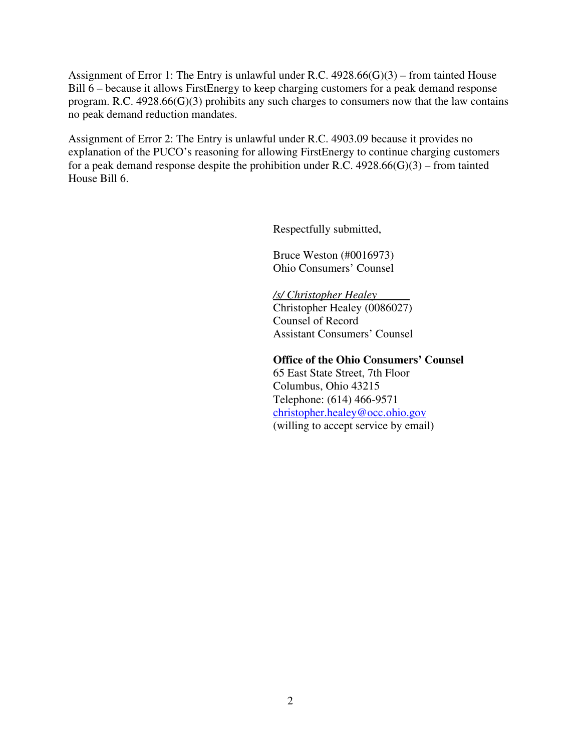Assignment of Error 1: The Entry is unlawful under R.C. 4928.66(G)(3) – from tainted House Bill 6 – because it allows FirstEnergy to keep charging customers for a peak demand response program. R.C. 4928.66(G)(3) prohibits any such charges to consumers now that the law contains no peak demand reduction mandates.

Assignment of Error 2: The Entry is unlawful under R.C. 4903.09 because it provides no explanation of the PUCO's reasoning for allowing FirstEnergy to continue charging customers for a peak demand response despite the prohibition under R.C.  $4928.66(G)(3)$  – from tainted House Bill 6.

Respectfully submitted,

Bruce Weston (#0016973) Ohio Consumers' Counsel

*/s/ Christopher Healey*  Christopher Healey (0086027) Counsel of Record Assistant Consumers' Counsel

 **Office of the Ohio Consumers' Counsel** 

 65 East State Street, 7th Floor Columbus, Ohio 43215 Telephone: (614) 466-9571 christopher.healey@occ.ohio.gov (willing to accept service by email)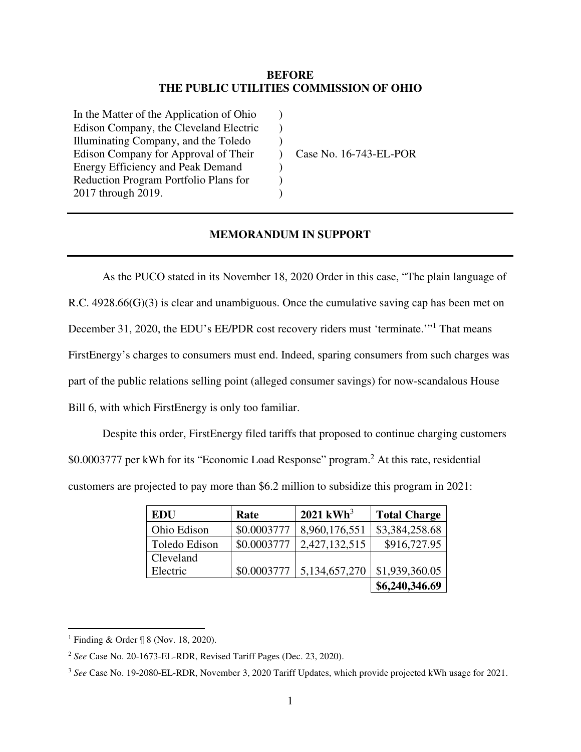#### **BEFORE THE PUBLIC UTILITIES COMMISSION OF OHIO**

) ) )  $\lambda$ ) ) )

In the Matter of the Application of Ohio Edison Company, the Cleveland Electric Illuminating Company, and the Toledo Edison Company for Approval of Their Energy Efficiency and Peak Demand Reduction Program Portfolio Plans for 2017 through 2019.

Case No. 16-743-EL-POR

### **MEMORANDUM IN SUPPORT**

As the PUCO stated in its November 18, 2020 Order in this case, "The plain language of R.C. 4928.66(G)(3) is clear and unambiguous. Once the cumulative saving cap has been met on December 31, 2020, the EDU's EE/PDR cost recovery riders must 'terminate."<sup>1</sup> That means FirstEnergy's charges to consumers must end. Indeed, sparing consumers from such charges was part of the public relations selling point (alleged consumer savings) for now-scandalous House Bill 6, with which FirstEnergy is only too familiar.

Despite this order, FirstEnergy filed tariffs that proposed to continue charging customers

\$0.0003777 per kWh for its "Economic Load Response" program.<sup>2</sup> At this rate, residential

customers are projected to pay more than \$6.2 million to subsidize this program in 2021:

| <b>EDU</b>    | Rate        | $2021 \text{ kWh}^3$           | <b>Total Charge</b> |
|---------------|-------------|--------------------------------|---------------------|
| Ohio Edison   | \$0.0003777 | 8,960,176,551                  | \$3,384,258.68      |
| Toledo Edison | \$0.0003777 | 2,427,132,515                  | \$916,727.95        |
| Cleveland     |             |                                |                     |
| Electric      | \$0.0003777 | $\vert 5, 134, 657, 270 \vert$ | \$1,939,360.05      |
|               |             |                                | \$6,240,346.69      |

<sup>1</sup> Finding & Order ¶ 8 (Nov. 18, 2020).

<sup>2</sup> *See* Case No. 20-1673-EL-RDR, Revised Tariff Pages (Dec. 23, 2020).

<sup>&</sup>lt;sup>3</sup> See Case No. 19-2080-EL-RDR, November 3, 2020 Tariff Updates, which provide projected kWh usage for 2021.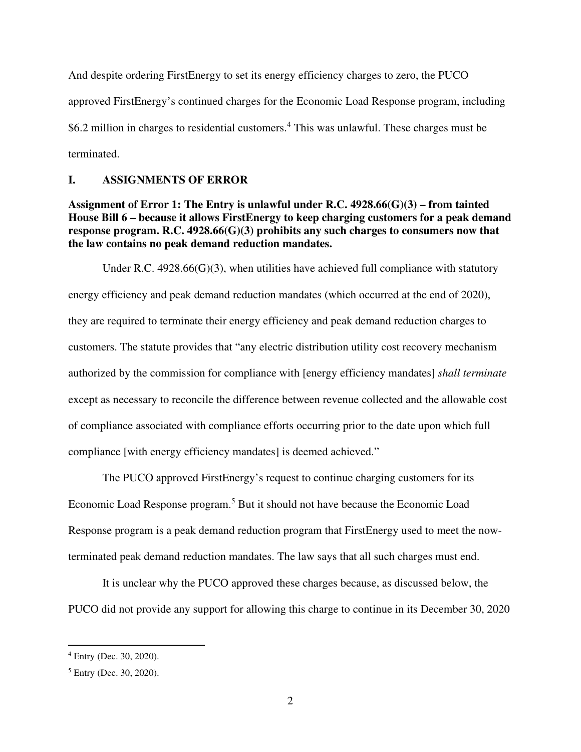And despite ordering FirstEnergy to set its energy efficiency charges to zero, the PUCO approved FirstEnergy's continued charges for the Economic Load Response program, including \$6.2 million in charges to residential customers.<sup>4</sup> This was unlawful. These charges must be terminated.

#### **I. ASSIGNMENTS OF ERROR**

**Assignment of Error 1: The Entry is unlawful under R.C. 4928.66(G)(3) – from tainted House Bill 6 – because it allows FirstEnergy to keep charging customers for a peak demand response program. R.C. 4928.66(G)(3) prohibits any such charges to consumers now that the law contains no peak demand reduction mandates.**

Under R.C.  $4928.66(G)(3)$ , when utilities have achieved full compliance with statutory energy efficiency and peak demand reduction mandates (which occurred at the end of 2020), they are required to terminate their energy efficiency and peak demand reduction charges to customers. The statute provides that "any electric distribution utility cost recovery mechanism authorized by the commission for compliance with [energy efficiency mandates] *shall terminate* except as necessary to reconcile the difference between revenue collected and the allowable cost of compliance associated with compliance efforts occurring prior to the date upon which full compliance [with energy efficiency mandates] is deemed achieved."

The PUCO approved FirstEnergy's request to continue charging customers for its Economic Load Response program.<sup>5</sup> But it should not have because the Economic Load Response program is a peak demand reduction program that FirstEnergy used to meet the nowterminated peak demand reduction mandates. The law says that all such charges must end.

It is unclear why the PUCO approved these charges because, as discussed below, the PUCO did not provide any support for allowing this charge to continue in its December 30, 2020

<sup>4</sup> Entry (Dec. 30, 2020).

<sup>5</sup> Entry (Dec. 30, 2020).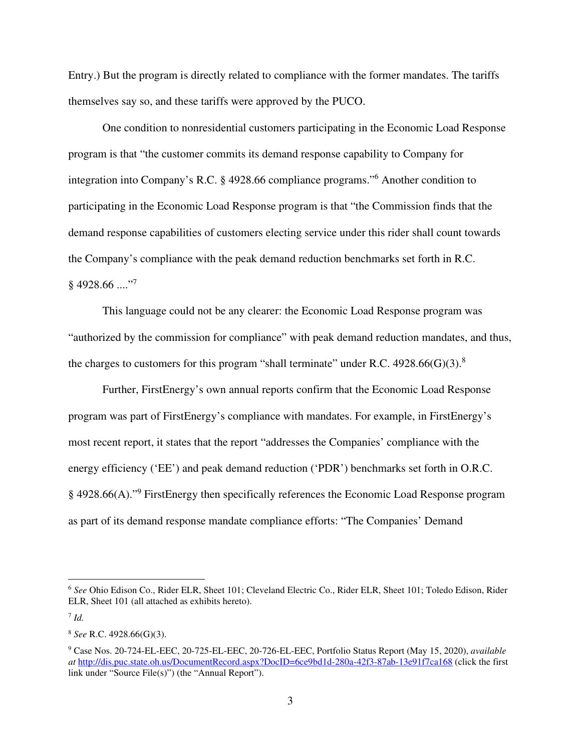Entry.) But the program is directly related to compliance with the former mandates. The tariffs themselves say so, and these tariffs were approved by the PUCO.

One condition to nonresidential customers participating in the Economic Load Response program is that "the customer commits its demand response capability to Company for integration into Company's R.C. § 4928.66 compliance programs."<sup>6</sup> Another condition to participating in the Economic Load Response program is that "the Commission finds that the demand response capabilities of customers electing service under this rider shall count towards the Company's compliance with the peak demand reduction benchmarks set forth in R.C.  $§$  4928.66 ...."<sup>7</sup>

This language could not be any clearer: the Economic Load Response program was "authorized by the commission for compliance" with peak demand reduction mandates, and thus, the charges to customers for this program "shall terminate" under R.C.  $4928.66(G)(3)$ .<sup>8</sup>

Further, FirstEnergy's own annual reports confirm that the Economic Load Response program was part of FirstEnergy's compliance with mandates. For example, in FirstEnergy's most recent report, it states that the report "addresses the Companies' compliance with the energy efficiency ('EE') and peak demand reduction ('PDR') benchmarks set forth in O.R.C. § 4928.66(A)."<sup>9</sup> FirstEnergy then specifically references the Economic Load Response program as part of its demand response mandate compliance efforts: "The Companies' Demand

<sup>6</sup> *See* Ohio Edison Co., Rider ELR, Sheet 101; Cleveland Electric Co., Rider ELR, Sheet 101; Toledo Edison, Rider ELR, Sheet 101 (all attached as exhibits hereto).

<sup>7</sup> *Id.*

<sup>8</sup> *See* R.C. 4928.66(G)(3).

<sup>9</sup> Case Nos. 20-724-EL-EEC, 20-725-EL-EEC, 20-726-EL-EEC, Portfolio Status Report (May 15, 2020), *available at* http://dis.puc.state.oh.us/DocumentRecord.aspx?DocID=6ce9bd1d-280a-42f3-87ab-13e91f7ca168 (click the first link under "Source File(s)") (the "Annual Report").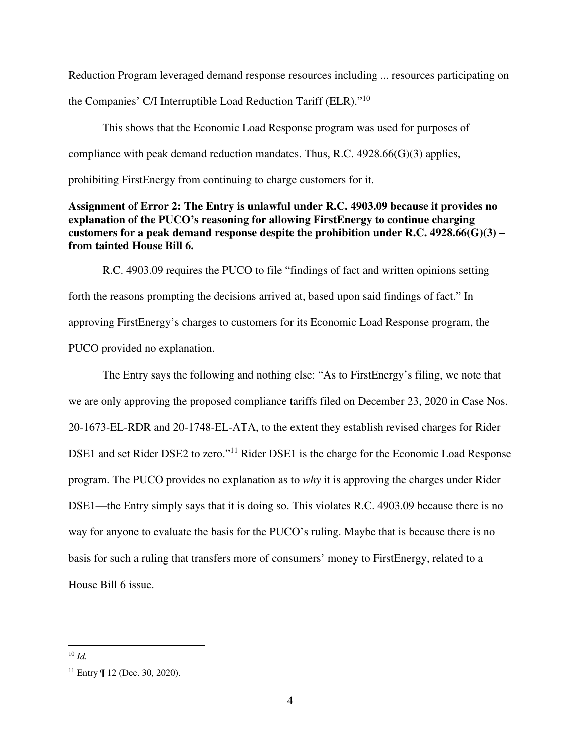Reduction Program leveraged demand response resources including ... resources participating on the Companies' C/I Interruptible Load Reduction Tariff (ELR)."<sup>10</sup>

This shows that the Economic Load Response program was used for purposes of compliance with peak demand reduction mandates. Thus, R.C. 4928.66(G)(3) applies, prohibiting FirstEnergy from continuing to charge customers for it.

# **Assignment of Error 2: The Entry is unlawful under R.C. 4903.09 because it provides no explanation of the PUCO's reasoning for allowing FirstEnergy to continue charging customers for a peak demand response despite the prohibition under R.C. 4928.66(G)(3) – from tainted House Bill 6.**

R.C. 4903.09 requires the PUCO to file "findings of fact and written opinions setting forth the reasons prompting the decisions arrived at, based upon said findings of fact." In approving FirstEnergy's charges to customers for its Economic Load Response program, the PUCO provided no explanation.

The Entry says the following and nothing else: "As to FirstEnergy's filing, we note that we are only approving the proposed compliance tariffs filed on December 23, 2020 in Case Nos. 20-1673-EL-RDR and 20-1748-EL-ATA, to the extent they establish revised charges for Rider DSE1 and set Rider DSE2 to zero."<sup>11</sup> Rider DSE1 is the charge for the Economic Load Response program. The PUCO provides no explanation as to *why* it is approving the charges under Rider DSE1—the Entry simply says that it is doing so. This violates R.C. 4903.09 because there is no way for anyone to evaluate the basis for the PUCO's ruling. Maybe that is because there is no basis for such a ruling that transfers more of consumers' money to FirstEnergy, related to a House Bill 6 issue.

<sup>10</sup> *Id.*

 $11$  Entry  $\P$  12 (Dec. 30, 2020).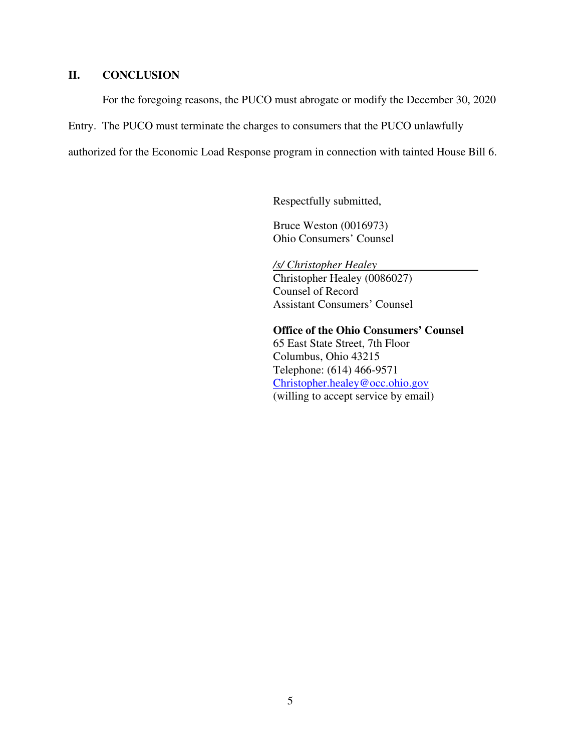# **II. CONCLUSION**

For the foregoing reasons, the PUCO must abrogate or modify the December 30, 2020

Entry. The PUCO must terminate the charges to consumers that the PUCO unlawfully

authorized for the Economic Load Response program in connection with tainted House Bill 6.

Respectfully submitted,

Bruce Weston (0016973) Ohio Consumers' Counsel

*/s/ Christopher Healey*  Christopher Healey (0086027) Counsel of Record Assistant Consumers' Counsel

 **Office of the Ohio Consumers' Counsel**  65 East State Street, 7th Floor Columbus, Ohio 43215 Telephone: (614) 466-9571 Christopher.healey@occ.ohio.gov (willing to accept service by email)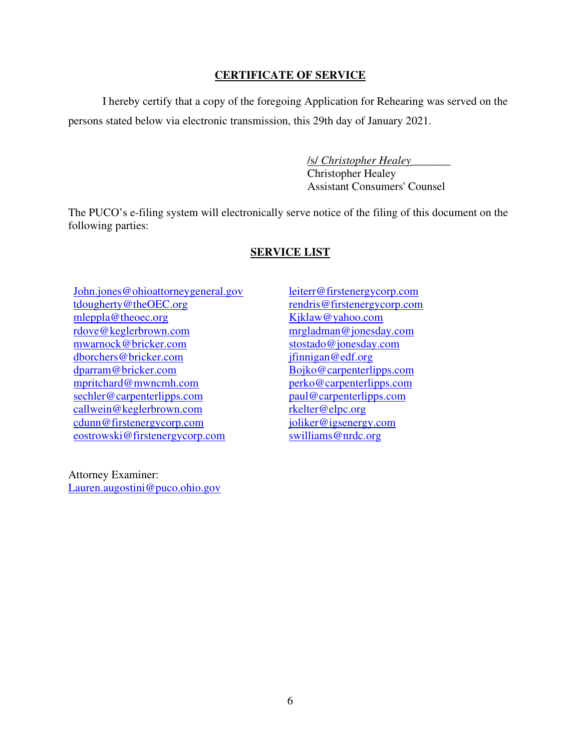# **CERTIFICATE OF SERVICE**

I hereby certify that a copy of the foregoing Application for Rehearing was served on the persons stated below via electronic transmission, this 29th day of January 2021.

> /s/ *Christopher Healey*\_\_\_\_\_\_\_ Christopher Healey Assistant Consumers' Counsel

The PUCO's e-filing system will electronically serve notice of the filing of this document on the following parties:

## **SERVICE LIST**

John.jones@ohioattorneygeneral.gov tdougherty@theOEC.org mleppla@theoec.org rdove@keglerbrown.com mwarnock@bricker.com dborchers@bricker.com dparram@bricker.com mpritchard@mwncmh.com sechler@carpenterlipps.com callwein@keglerbrown.com cdunn@firstenergycorp.com eostrowski@firstenergycorp.com

Attorney Examiner: Lauren.augostini@puco.ohio.gov leiterr@firstenergycorp.com rendris@firstenergycorp.com Kjklaw@yahoo.com mrgladman@jonesday.com stostado@jonesday.com jfinnigan@edf.org Bojko@carpenterlipps.com perko@carpenterlipps.com paul@carpenterlipps.com rkelter@elpc.org joliker@igsenergy.com swilliams@nrdc.org